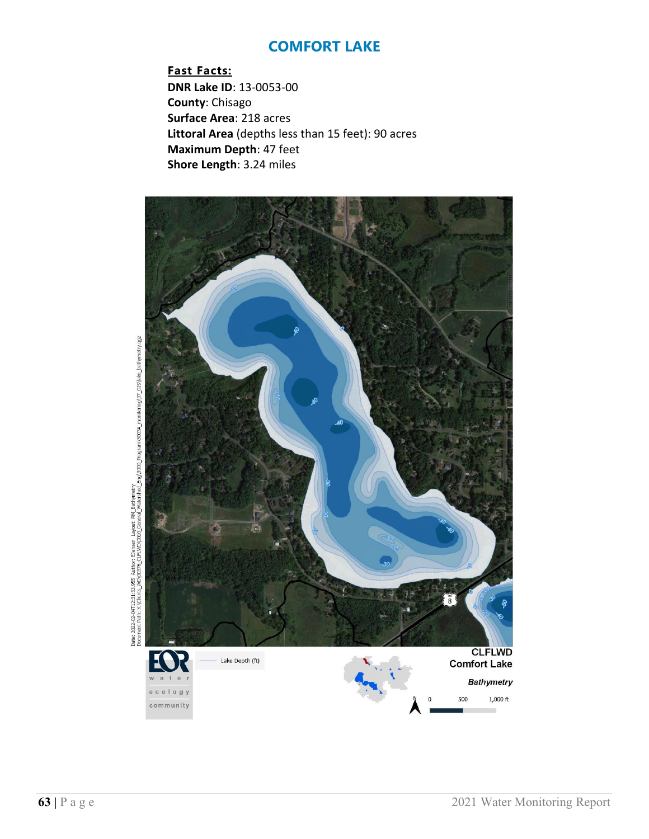**Fast Facts: DNR Lake ID**: 13-0053-00 **County**: Chisago **Surface Area**: 218 acres **Littoral Area** (depths less than 15 feet): 90 acres **Maximum Depth**: 47 feet **Shore Length**: 3.24 miles



Date: 2022-02-04T12:21:33.955. Author: Elensen Layout: RM Bathymetry<br>Document Path: X:(Clients, WD)(0376\_CLEIVID)(0310\_General\_Vataeshed\_Eng)3000\_Program)3003A\_monitoring)(07\_GIS)lake\_bathymetry.qgz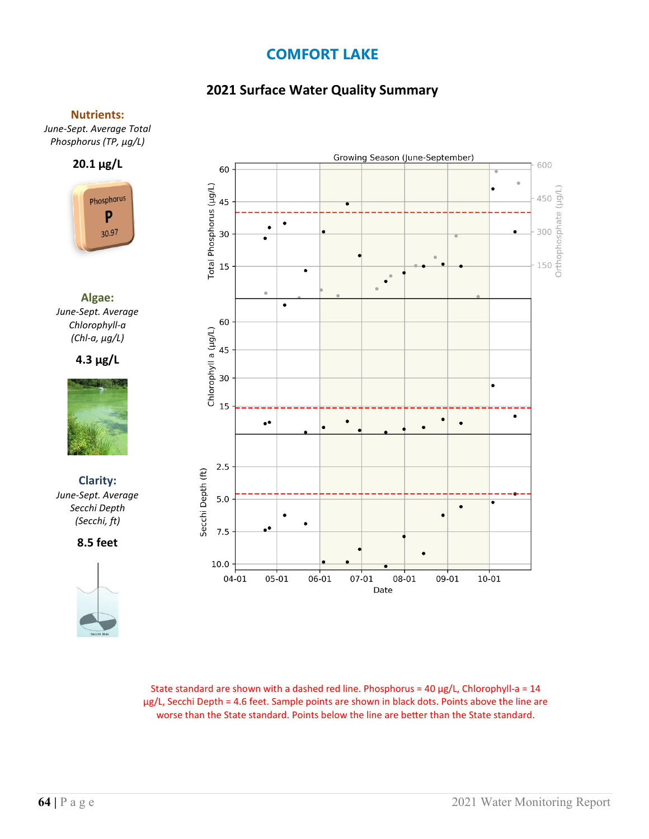# **2021 Surface Water Quality Summary**

#### **Nutrients:**

*June-Sept. Average Total Phosphorus (TP, µg/L)*





**Algae:** *June-Sept. Average Chlorophyll-a (Chl-a, µg/L)*





**Clarity:**  *June-Sept. Average Secchi Depth (Secchi, ft)*

**8.5 feet**





State standard are shown with a dashed red line. Phosphorus =  $40 \mu g/L$ , Chlorophyll-a =  $14$ µg/L, Secchi Depth = 4.6 feet. Sample points are shown in black dots. Points above the line are worse than the State standard. Points below the line are better than the State standard.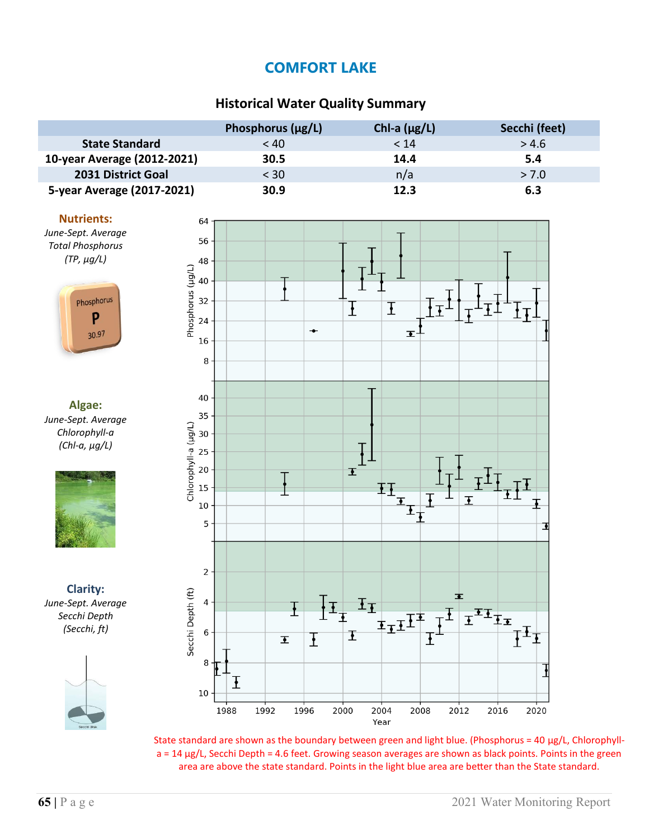### **Historical Water Quality Summary**

|                             | Phosphorus $(\mu g/L)$ | Chl-a $(\mu g/L)$ | Secchi (feet) |
|-----------------------------|------------------------|-------------------|---------------|
| <b>State Standard</b>       | < 40                   | < 14              | > 4.6         |
| 10-year Average (2012-2021) | 30.5                   | 14.4              | 5.4           |
| 2031 District Goal          | $<$ 30                 | n/a               | > 7.0         |
| 5-year Average (2017-2021)  | 30.9                   | 12.3              | 6.3           |

#### **Nutrients:**





**Algae:** *June-Sept. Average Chlorophyll-a (Chl-a, µg/L)*



**Clarity:** *June-Sept. Average Secchi Depth (Secchi, ft)*





State standard are shown as the boundary between green and light blue. (Phosphorus = 40  $\mu$ g/L, Chlorophylla = 14 µg/L, Secchi Depth = 4.6 feet. Growing season averages are shown as black points. Points in the green area are above the state standard. Points in the light blue area are better than the State standard.